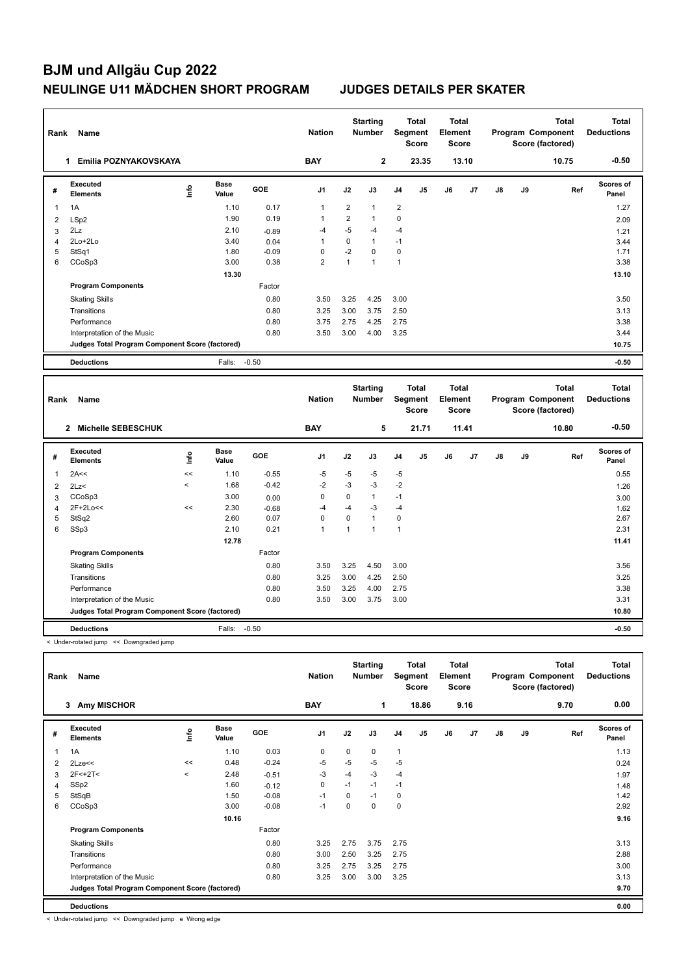## **BJM und Allgäu Cup 2022 NEULINGE U11 MÄDCHEN SHORT PROGRAM JUDGES DETAILS PER SKATER**

 **12.78 11.41**

| Rank           | Name                                            |      |                      |         | <b>Nation</b>  |                | <b>Starting</b><br><b>Number</b> |                | <b>Total</b><br><b>Segment</b><br><b>Score</b> | Total<br>Element<br><b>Score</b>        |       |    |    | <b>Total</b><br>Program Component<br>Score (factored) | <b>Total</b><br><b>Deductions</b> |
|----------------|-------------------------------------------------|------|----------------------|---------|----------------|----------------|----------------------------------|----------------|------------------------------------------------|-----------------------------------------|-------|----|----|-------------------------------------------------------|-----------------------------------|
|                | Emilia POZNYAKOVSKAYA<br>1                      |      |                      |         | <b>BAY</b>     |                | 2                                |                | 23.35                                          |                                         | 13.10 |    |    | 10.75                                                 | $-0.50$                           |
| #              | <b>Executed</b><br><b>Elements</b>              | ١nfo | <b>Base</b><br>Value | GOE     | J <sub>1</sub> | J2             | J3                               | J <sub>4</sub> | J <sub>5</sub>                                 | J6                                      | J7    | J8 | J9 | Ref                                                   | Scores of<br>Panel                |
| 1              | 1A                                              |      | 1.10                 | 0.17    | $\mathbf{1}$   | 2              | $\mathbf{1}$                     | $\overline{2}$ |                                                |                                         |       |    |    |                                                       | 1.27                              |
| $\overline{2}$ | LSp2                                            |      | 1.90                 | 0.19    | $\mathbf{1}$   | $\overline{2}$ | $\mathbf{1}$                     | 0              |                                                |                                         |       |    |    |                                                       | 2.09                              |
| 3              | 2Lz                                             |      | 2.10                 | $-0.89$ | $-4$           | $-5$           | $-4$                             | $-4$           |                                                |                                         |       |    |    |                                                       | 1.21                              |
| $\overline{4}$ | 2Lo+2Lo                                         |      | 3.40                 | 0.04    | $\overline{1}$ | $\mathbf 0$    | $\mathbf{1}$                     | $-1$           |                                                |                                         |       |    |    |                                                       | 3.44                              |
| 5              | StSq1                                           |      | 1.80                 | $-0.09$ | $\mathbf 0$    | $-2$           | $\mathbf 0$                      | $\mathbf 0$    |                                                |                                         |       |    |    |                                                       | 1.71                              |
| 6              | CCoSp3                                          |      | 3.00                 | 0.38    | $\overline{2}$ | $\mathbf{1}$   | $\mathbf{1}$                     | $\mathbf{1}$   |                                                |                                         |       |    |    |                                                       | 3.38                              |
|                |                                                 |      | 13.30                |         |                |                |                                  |                |                                                |                                         |       |    |    |                                                       | 13.10                             |
|                | <b>Program Components</b>                       |      |                      | Factor  |                |                |                                  |                |                                                |                                         |       |    |    |                                                       |                                   |
|                | <b>Skating Skills</b>                           |      |                      | 0.80    | 3.50           | 3.25           | 4.25                             | 3.00           |                                                |                                         |       |    |    |                                                       | 3.50                              |
|                | Transitions                                     |      |                      | 0.80    | 3.25           | 3.00           | 3.75                             | 2.50           |                                                |                                         |       |    |    |                                                       | 3.13                              |
|                | Performance                                     |      |                      | 0.80    | 3.75           | 2.75           | 4.25                             | 2.75           |                                                |                                         |       |    |    |                                                       | 3.38                              |
|                | Interpretation of the Music                     |      |                      | 0.80    | 3.50           | 3.00           | 4.00                             | 3.25           |                                                |                                         |       |    |    |                                                       | 3.44                              |
|                | Judges Total Program Component Score (factored) |      |                      |         |                |                |                                  |                |                                                |                                         |       |    |    |                                                       | 10.75                             |
|                | <b>Deductions</b>                               |      | Falls: -0.50         |         |                |                |                                  |                |                                                |                                         |       |    |    |                                                       | $-0.50$                           |
|                |                                                 |      |                      |         |                |                |                                  |                |                                                |                                         |       |    |    |                                                       |                                   |
| Rank           | Name                                            |      |                      |         | <b>Nation</b>  |                | <b>Starting</b><br><b>Number</b> |                | <b>Total</b><br>Segment<br><b>Score</b>        | <b>Total</b><br>Element<br><b>Score</b> |       |    |    | <b>Total</b><br>Program Component<br>Score (factored) | <b>Total</b><br><b>Deductions</b> |
|                | <b>Michelle SEBESCHUK</b><br>$\mathbf{2}$       |      |                      |         | <b>BAY</b>     |                | 5                                |                | 21.71                                          |                                         | 11.41 |    |    | 10.80                                                 | $-0.50$                           |
| #              | <b>Executed</b><br><b>Elements</b>              | lnfo | <b>Base</b><br>Value | GOE     | J <sub>1</sub> | J2             | J3                               | J <sub>4</sub> | J5                                             | J6                                      | J7    | J8 | J9 | Ref                                                   | <b>Scores of</b><br>Panel         |
| 1              | 2A<<                                            | <<   | 1.10                 | $-0.55$ | $-5$           | $-5$           | $-5$                             | $-5$           |                                                |                                         |       |    |    |                                                       | 0.55                              |

 2Lz< < 1.68 -0.42 -2 -3 -3 -2 1.26 CCoSp3 3.00 0.00 0 0 1 -1 3.00 2F+2Lo<< << 2.30 -0.68 -4 -4 -3 -4 1.62 StSq2 2.60 0.07 0 0 1 0 2.67 SSp3 2.10 0.21 1 1 1 1 2.31

Skating Skills 3.50 3.25 4.50 3.00 0.80 3.56

Transitions 0.80 3.25 3.00 4.25 2.50 3.25 Performance 200 3.50 3.50 3.50 3.25 4.00 2.75 3.38 Interpretation of the Music 0.80 3.50 3.00 3.75 3.00 3.31

**Deductions** Falls: -0.50 **-0.50 Judges Total Program Component Score (factored) 10.80**

Factor

< Under-rotated jump << Downgraded jump

**Program Components** 

|   | Name<br>Rank                                    |         |                      | <b>Nation</b> | <b>Starting</b><br><b>Number</b> |             | Total<br>Segment<br><b>Score</b> |                | <b>Total</b><br>Element<br>Score |    | <b>Total</b><br>Program Component<br>Score (factored) |               |    | <b>Total</b><br><b>Deductions</b> |                           |
|---|-------------------------------------------------|---------|----------------------|---------------|----------------------------------|-------------|----------------------------------|----------------|----------------------------------|----|-------------------------------------------------------|---------------|----|-----------------------------------|---------------------------|
|   | <b>Amy MISCHOR</b><br>3                         |         |                      |               | <b>BAY</b>                       |             | 1                                |                | 18.86                            |    | 9.16                                                  |               |    | 9.70                              | 0.00                      |
| # | Executed<br><b>Elements</b>                     | lnfo    | <b>Base</b><br>Value | <b>GOE</b>    | J <sub>1</sub>                   | J2          | J3                               | J <sub>4</sub> | J <sub>5</sub>                   | J6 | J7                                                    | $\mathsf{J}8$ | J9 | Ref                               | <b>Scores of</b><br>Panel |
|   | 1A                                              |         | 1.10                 | 0.03          | $\mathbf 0$                      | $\mathbf 0$ | 0                                | $\mathbf{1}$   |                                  |    |                                                       |               |    |                                   | 1.13                      |
| 2 | 2Lze<<                                          | <<      | 0.48                 | $-0.24$       | $-5$                             | $-5$        | $-5$                             | $-5$           |                                  |    |                                                       |               |    |                                   | 0.24                      |
| 3 | $2F<+2T<$                                       | $\prec$ | 2.48                 | $-0.51$       | -3                               | $-4$        | $-3$                             | $-4$           |                                  |    |                                                       |               |    |                                   | 1.97                      |
| 4 | SSp2                                            |         | 1.60                 | $-0.12$       | 0                                | $-1$        | $-1$                             | $-1$           |                                  |    |                                                       |               |    |                                   | 1.48                      |
| 5 | StSqB                                           |         | 1.50                 | $-0.08$       | $-1$                             | 0           | $-1$                             | 0              |                                  |    |                                                       |               |    |                                   | 1.42                      |
| 6 | CCoSp3                                          |         | 3.00                 | $-0.08$       | $-1$                             | 0           | $\mathbf 0$                      | $\mathbf 0$    |                                  |    |                                                       |               |    |                                   | 2.92                      |
|   |                                                 |         | 10.16                |               |                                  |             |                                  |                |                                  |    |                                                       |               |    |                                   | 9.16                      |
|   | <b>Program Components</b>                       |         |                      | Factor        |                                  |             |                                  |                |                                  |    |                                                       |               |    |                                   |                           |
|   | <b>Skating Skills</b>                           |         |                      | 0.80          | 3.25                             | 2.75        | 3.75                             | 2.75           |                                  |    |                                                       |               |    |                                   | 3.13                      |
|   | Transitions                                     |         |                      | 0.80          | 3.00                             | 2.50        | 3.25                             | 2.75           |                                  |    |                                                       |               |    |                                   | 2.88                      |
|   | Performance                                     |         |                      | 0.80          | 3.25                             | 2.75        | 3.25                             | 2.75           |                                  |    |                                                       |               |    |                                   | 3.00                      |
|   | Interpretation of the Music                     |         |                      | 0.80          | 3.25                             | 3.00        | 3.00                             | 3.25           |                                  |    |                                                       |               |    |                                   | 3.13                      |
|   | Judges Total Program Component Score (factored) |         |                      |               |                                  |             |                                  |                |                                  |    |                                                       |               |    |                                   | 9.70                      |
|   | <b>Deductions</b>                               |         |                      |               |                                  |             |                                  |                |                                  |    |                                                       |               |    |                                   | 0.00                      |

< Under-rotated jump << Downgraded jump e Wrong edge